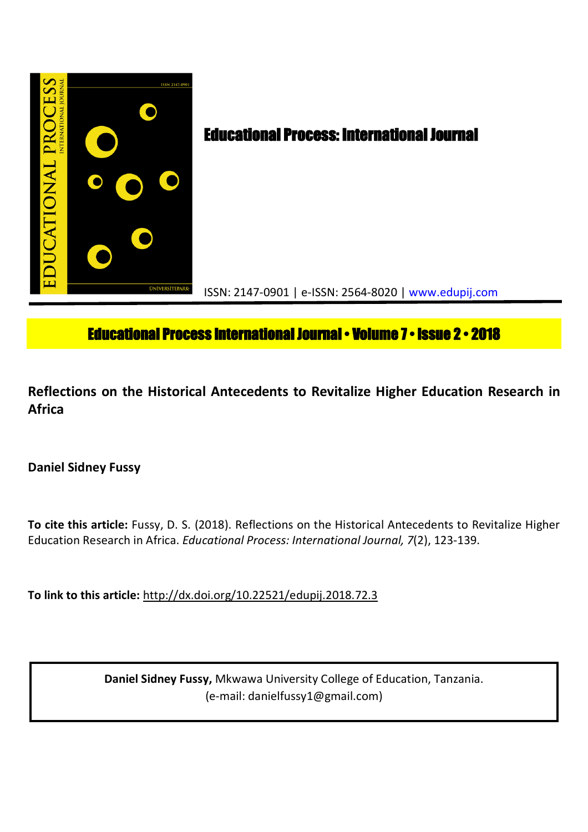

# **Educational Process International Journal • Volume 7 • Issue 2 • 2018**

**Reflections on the Historical Antecedents to Revitalize Higher Education Research in Africa**

## **Daniel Sidney Fussy**

**To cite this article:** Fussy, D. S. (2018). Reflections on the Historical Antecedents to Revitalize Higher Education Research in Africa. *Educational Process: International Journal, 7*(2), 123-139.

**To link to this article:** http://dx.doi.org/10.22521/edupij.2018.72.3

**Daniel Sidney Fussy,** Mkwawa University College of Education, Tanzania. (e-mail: danielfussy1@gmail.com)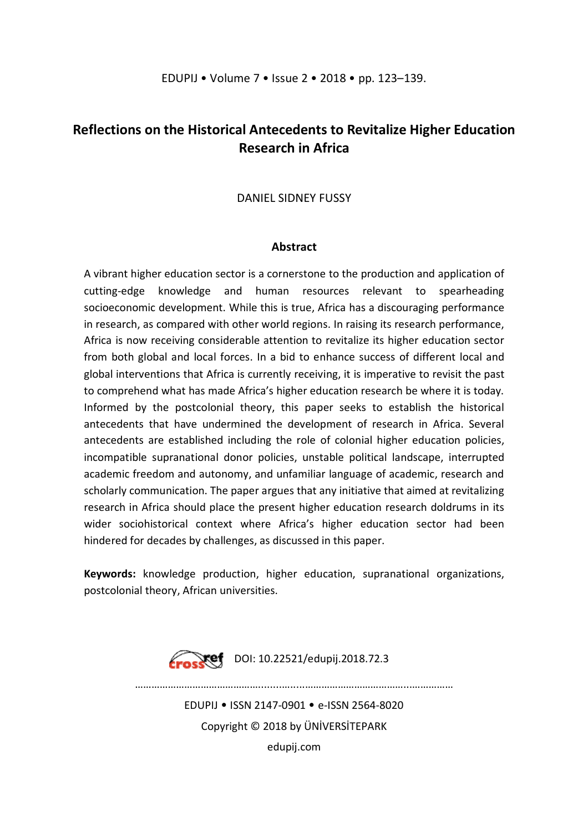## **Reflections on the Historical Antecedents to Revitalize Higher Education Research in Africa**

## DANIEL SIDNEY FUSSY

## **Abstract**

A vibrant higher education sector is a cornerstone to the production and application of cutting-edge knowledge and human resources relevant to spearheading socioeconomic development. While this is true, Africa has a discouraging performance in research, as compared with other world regions. In raising its research performance, Africa is now receiving considerable attention to revitalize its higher education sector from both global and local forces. In a bid to enhance success of different local and global interventions that Africa is currently receiving, it is imperative to revisit the past to comprehend what has made Africa's higher education research be where it is today. Informed by the postcolonial theory, this paper seeks to establish the historical antecedents that have undermined the development of research in Africa. Several antecedents are established including the role of colonial higher education policies, incompatible supranational donor policies, unstable political landscape, interrupted academic freedom and autonomy, and unfamiliar language of academic, research and scholarly communication. The paper argues that any initiative that aimed at revitalizing research in Africa should place the present higher education research doldrums in its wider sociohistorical context where Africa's higher education sector had been hindered for decades by challenges, as discussed in this paper.

**Keywords:** knowledge production, higher education, supranational organizations, postcolonial theory, African universities.



 $Xef$  DOI: 10.22521/edupij.2018.72.3

………………………………………........….....………………………………...……………

EDUPIJ • ISSN 2147-0901 • e-ISSN 2564-8020 Copyright © 2018 by ÜNİVERSİTEPARK edupij.com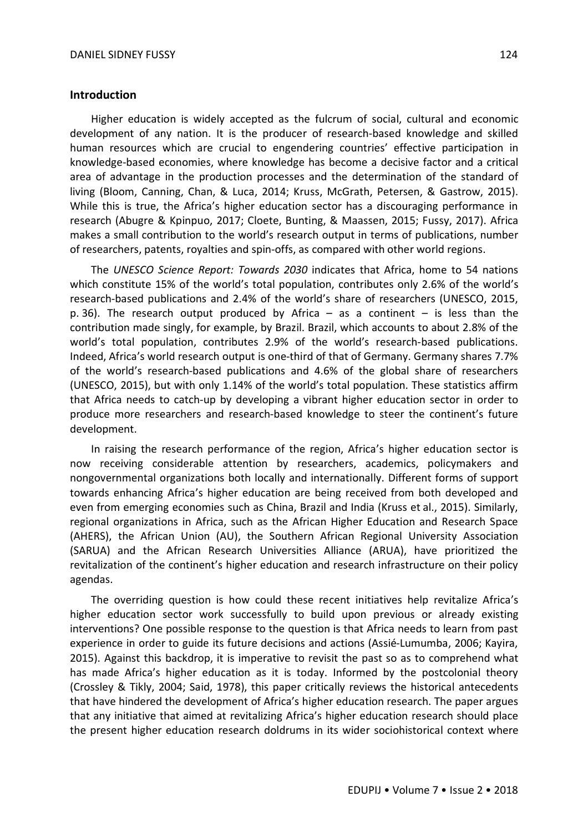#### **Introduction**

Higher education is widely accepted as the fulcrum of social, cultural and economic development of any nation. It is the producer of research-based knowledge and skilled human resources which are crucial to engendering countries' effective participation in knowledge-based economies, where knowledge has become a decisive factor and a critical area of advantage in the production processes and the determination of the standard of living (Bloom, Canning, Chan, & Luca, 2014; Kruss, McGrath, Petersen, & Gastrow, 2015). While this is true, the Africa's higher education sector has a discouraging performance in research (Abugre & Kpinpuo, 2017; Cloete, Bunting, & Maassen, 2015; Fussy, 2017). Africa makes a small contribution to the world's research output in terms of publications, number of researchers, patents, royalties and spin-offs, as compared with other world regions.

The *UNESCO Science Report: Towards 2030* indicates that Africa, home to 54 nations which constitute 15% of the world's total population, contributes only 2.6% of the world's research-based publications and 2.4% of the world's share of researchers (UNESCO, 2015, p. 36). The research output produced by Africa  $-$  as a continent  $-$  is less than the contribution made singly, for example, by Brazil. Brazil, which accounts to about 2.8% of the world's total population, contributes 2.9% of the world's research-based publications. Indeed, Africa's world research output is one-third of that of Germany. Germany shares 7.7% of the world's research-based publications and 4.6% of the global share of researchers (UNESCO, 2015), but with only 1.14% of the world's total population. These statistics affirm that Africa needs to catch-up by developing a vibrant higher education sector in order to produce more researchers and research-based knowledge to steer the continent's future development.

In raising the research performance of the region, Africa's higher education sector is now receiving considerable attention by researchers, academics, policymakers and nongovernmental organizations both locally and internationally. Different forms of support towards enhancing Africa's higher education are being received from both developed and even from emerging economies such as China, Brazil and India (Kruss et al., 2015). Similarly, regional organizations in Africa, such as the African Higher Education and Research Space (AHERS), the African Union (AU), the Southern African Regional University Association (SARUA) and the African Research Universities Alliance (ARUA), have prioritized the revitalization of the continent's higher education and research infrastructure on their policy agendas.

The overriding question is how could these recent initiatives help revitalize Africa's higher education sector work successfully to build upon previous or already existing interventions? One possible response to the question is that Africa needs to learn from past experience in order to guide its future decisions and actions (Assié-Lumumba, 2006; Kayira, 2015). Against this backdrop, it is imperative to revisit the past so as to comprehend what has made Africa's higher education as it is today. Informed by the postcolonial theory (Crossley & Tikly, 2004; Said, 1978), this paper critically reviews the historical antecedents that have hindered the development of Africa's higher education research. The paper argues that any initiative that aimed at revitalizing Africa's higher education research should place the present higher education research doldrums in its wider sociohistorical context where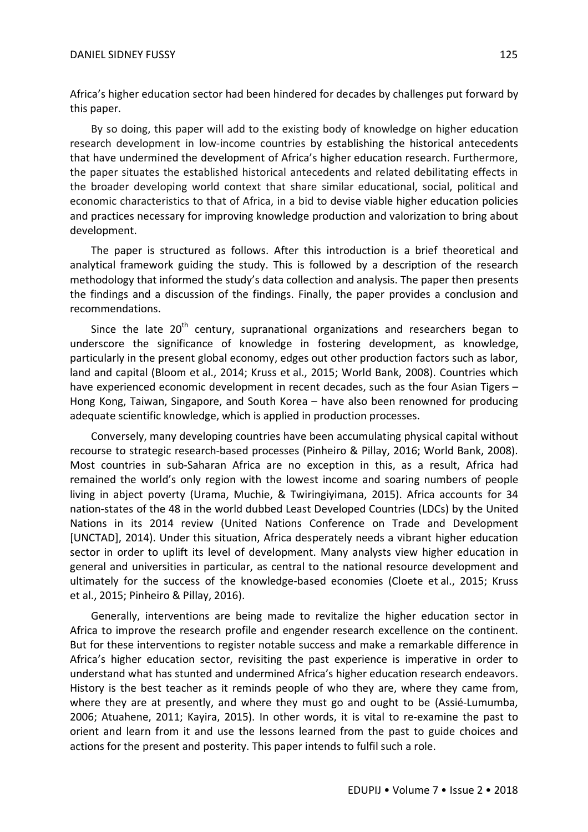Africa's higher education sector had been hindered for decades by challenges put forward by this paper.

By so doing, this paper will add to the existing body of knowledge on higher education research development in low-income countries by establishing the historical antecedents that have undermined the development of Africa's higher education research. Furthermore, the paper situates the established historical antecedents and related debilitating effects in the broader developing world context that share similar educational, social, political and economic characteristics to that of Africa, in a bid to devise viable higher education policies and practices necessary for improving knowledge production and valorization to bring about development.

The paper is structured as follows. After this introduction is a brief theoretical and analytical framework guiding the study. This is followed by a description of the research methodology that informed the study's data collection and analysis. The paper then presents the findings and a discussion of the findings. Finally, the paper provides a conclusion and recommendations.

Since the late  $20<sup>th</sup>$  century, supranational organizations and researchers began to underscore the significance of knowledge in fostering development, as knowledge, particularly in the present global economy, edges out other production factors such as labor, land and capital (Bloom et al., 2014; Kruss et al., 2015; World Bank, 2008). Countries which have experienced economic development in recent decades, such as the four Asian Tigers – Hong Kong, Taiwan, Singapore, and South Korea – have also been renowned for producing adequate scientific knowledge, which is applied in production processes.

Conversely, many developing countries have been accumulating physical capital without recourse to strategic research-based processes (Pinheiro & Pillay, 2016; World Bank, 2008). Most countries in sub-Saharan Africa are no exception in this, as a result, Africa had remained the world's only region with the lowest income and soaring numbers of people living in abject poverty (Urama, Muchie, & Twiringiyimana, 2015). Africa accounts for 34 nation-states of the 48 in the world dubbed Least Developed Countries (LDCs) by the United Nations in its 2014 review (United Nations Conference on Trade and Development [UNCTAD], 2014). Under this situation, Africa desperately needs a vibrant higher education sector in order to uplift its level of development. Many analysts view higher education in general and universities in particular, as central to the national resource development and ultimately for the success of the knowledge-based economies (Cloete et al., 2015; Kruss et al., 2015; Pinheiro & Pillay, 2016).

Generally, interventions are being made to revitalize the higher education sector in Africa to improve the research profile and engender research excellence on the continent. But for these interventions to register notable success and make a remarkable difference in Africa's higher education sector, revisiting the past experience is imperative in order to understand what has stunted and undermined Africa's higher education research endeavors. History is the best teacher as it reminds people of who they are, where they came from, where they are at presently, and where they must go and ought to be (Assié-Lumumba, 2006; Atuahene, 2011; Kayira, 2015). In other words, it is vital to re-examine the past to orient and learn from it and use the lessons learned from the past to guide choices and actions for the present and posterity. This paper intends to fulfil such a role.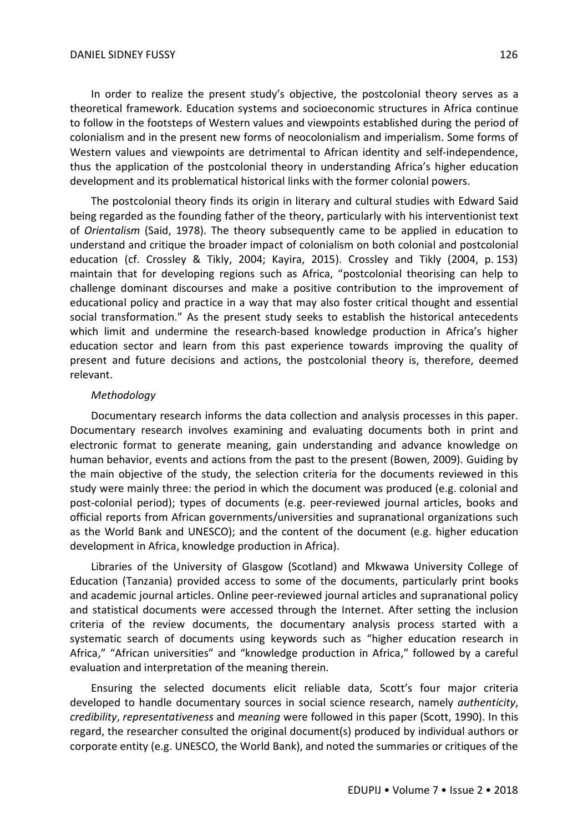In order to realize the present study's objective, the postcolonial theory serves as a theoretical framework. Education systems and socioeconomic structures in Africa continue to follow in the footsteps of Western values and viewpoints established during the period of colonialism and in the present new forms of neocolonialism and imperialism. Some forms of Western values and viewpoints are detrimental to African identity and self-independence, thus the application of the postcolonial theory in understanding Africa's higher education development and its problematical historical links with the former colonial powers.

The postcolonial theory finds its origin in literary and cultural studies with Edward Said being regarded as the founding father of the theory, particularly with his interventionist text of *Orientalism* (Said, 1978). The theory subsequently came to be applied in education to understand and critique the broader impact of colonialism on both colonial and postcolonial education (cf. Crossley & Tikly, 2004; Kayira, 2015). Crossley and Tikly (2004, p. 153) maintain that for developing regions such as Africa, "postcolonial theorising can help to challenge dominant discourses and make a positive contribution to the improvement of educational policy and practice in a way that may also foster critical thought and essential social transformation." As the present study seeks to establish the historical antecedents which limit and undermine the research-based knowledge production in Africa's higher education sector and learn from this past experience towards improving the quality of present and future decisions and actions, the postcolonial theory is, therefore, deemed relevant.

## *Methodology*

Documentary research informs the data collection and analysis processes in this paper. Documentary research involves examining and evaluating documents both in print and electronic format to generate meaning, gain understanding and advance knowledge on human behavior, events and actions from the past to the present (Bowen, 2009). Guiding by the main objective of the study, the selection criteria for the documents reviewed in this study were mainly three: the period in which the document was produced (e.g. colonial and post-colonial period); types of documents (e.g. peer-reviewed journal articles, books and official reports from African governments/universities and supranational organizations such as the World Bank and UNESCO); and the content of the document (e.g. higher education development in Africa, knowledge production in Africa).

Libraries of the University of Glasgow (Scotland) and Mkwawa University College of Education (Tanzania) provided access to some of the documents, particularly print books and academic journal articles. Online peer-reviewed journal articles and supranational policy and statistical documents were accessed through the Internet. After setting the inclusion criteria of the review documents, the documentary analysis process started with a systematic search of documents using keywords such as "higher education research in Africa," "African universities" and "knowledge production in Africa," followed by a careful evaluation and interpretation of the meaning therein.

Ensuring the selected documents elicit reliable data, Scott's four major criteria developed to handle documentary sources in social science research, namely *authenticity*, *credibility*, *representativeness* and *meaning* were followed in this paper (Scott, 1990). In this regard, the researcher consulted the original document(s) produced by individual authors or corporate entity (e.g. UNESCO, the World Bank), and noted the summaries or critiques of the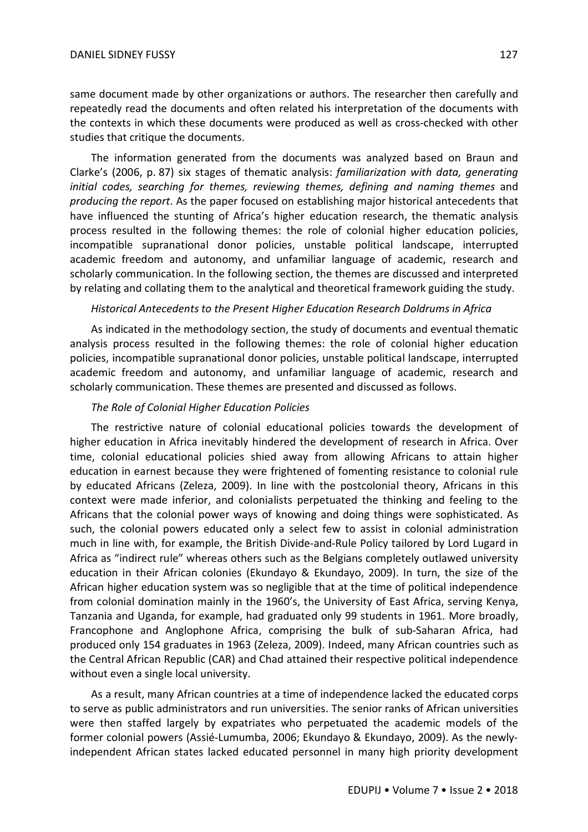same document made by other organizations or authors. The researcher then carefully and repeatedly read the documents and often related his interpretation of the documents with the contexts in which these documents were produced as well as cross-checked with other studies that critique the documents.

The information generated from the documents was analyzed based on Braun and Clarke's (2006, p. 87) six stages of thematic analysis: *familiarization with data, generating*  initial codes, searching for themes, reviewing themes, defining and naming themes and *producing the report*. As the paper focused on establishing major historical antecedents that have influenced the stunting of Africa's higher education research, the thematic analysis process resulted in the following themes: the role of colonial higher education policies, incompatible supranational donor policies, unstable political landscape, interrupted academic freedom and autonomy, and unfamiliar language of academic, research and scholarly communication. In the following section, the themes are discussed and interpreted by relating and collating them to the analytical and theoretical framework guiding the study.

## *Historical Antecedents to the Present Higher Education Research Doldrums in Africa*

As indicated in the methodology section, the study of documents and eventual thematic analysis process resulted in the following themes: the role of colonial higher education policies, incompatible supranational donor policies, unstable political landscape, interrupted academic freedom and autonomy, and unfamiliar language of academic, research and scholarly communication. These themes are presented and discussed as follows.

## *The Role of Colonial Higher Education Policies*

The restrictive nature of colonial educational policies towards the development of higher education in Africa inevitably hindered the development of research in Africa. Over time, colonial educational policies shied away from allowing Africans to attain higher education in earnest because they were frightened of fomenting resistance to colonial rule by educated Africans (Zeleza, 2009). In line with the postcolonial theory, Africans in this context were made inferior, and colonialists perpetuated the thinking and feeling to the Africans that the colonial power ways of knowing and doing things were sophisticated. As such, the colonial powers educated only a select few to assist in colonial administration much in line with, for example, the British Divide-and-Rule Policy tailored by Lord Lugard in Africa as "indirect rule" whereas others such as the Belgians completely outlawed university education in their African colonies (Ekundayo & Ekundayo, 2009). In turn, the size of the African higher education system was so negligible that at the time of political independence from colonial domination mainly in the 1960's, the University of East Africa, serving Kenya, Tanzania and Uganda, for example, had graduated only 99 students in 1961. More broadly, Francophone and Anglophone Africa, comprising the bulk of sub-Saharan Africa, had produced only 154 graduates in 1963 (Zeleza, 2009). Indeed, many African countries such as the Central African Republic (CAR) and Chad attained their respective political independence without even a single local university.

As a result, many African countries at a time of independence lacked the educated corps to serve as public administrators and run universities. The senior ranks of African universities were then staffed largely by expatriates who perpetuated the academic models of the former colonial powers (Assié-Lumumba, 2006; Ekundayo & Ekundayo, 2009). As the newlyindependent African states lacked educated personnel in many high priority development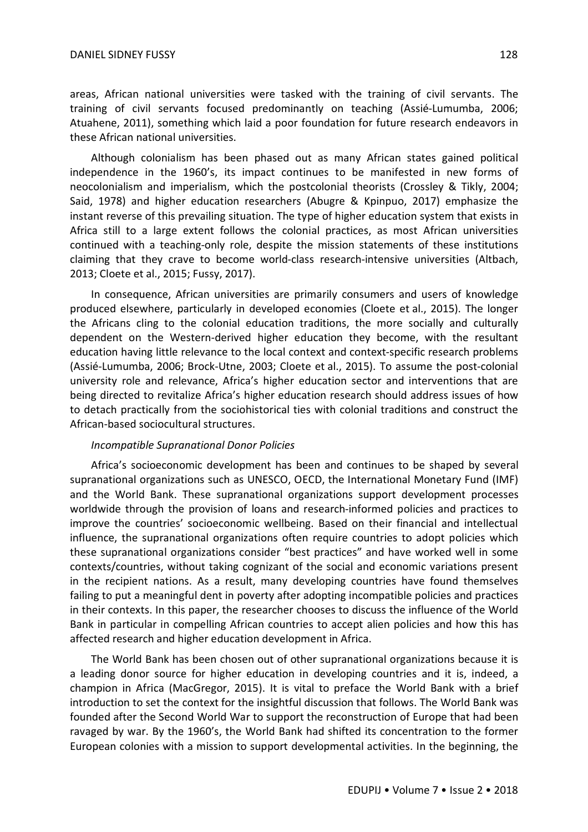areas, African national universities were tasked with the training of civil servants. The training of civil servants focused predominantly on teaching (Assié-Lumumba, 2006; Atuahene, 2011), something which laid a poor foundation for future research endeavors in these African national universities.

Although colonialism has been phased out as many African states gained political independence in the 1960's, its impact continues to be manifested in new forms of neocolonialism and imperialism, which the postcolonial theorists (Crossley & Tikly, 2004; Said, 1978) and higher education researchers (Abugre & Kpinpuo, 2017) emphasize the instant reverse of this prevailing situation. The type of higher education system that exists in Africa still to a large extent follows the colonial practices, as most African universities continued with a teaching-only role, despite the mission statements of these institutions claiming that they crave to become world-class research-intensive universities (Altbach, 2013; Cloete et al., 2015; Fussy, 2017).

In consequence, African universities are primarily consumers and users of knowledge produced elsewhere, particularly in developed economies (Cloete et al., 2015). The longer the Africans cling to the colonial education traditions, the more socially and culturally dependent on the Western-derived higher education they become, with the resultant education having little relevance to the local context and context-specific research problems (Assié-Lumumba, 2006; Brock-Utne, 2003; Cloete et al., 2015). To assume the post-colonial university role and relevance, Africa's higher education sector and interventions that are being directed to revitalize Africa's higher education research should address issues of how to detach practically from the sociohistorical ties with colonial traditions and construct the African-based sociocultural structures.

### *Incompatible Supranational Donor Policies*

Africa's socioeconomic development has been and continues to be shaped by several supranational organizations such as UNESCO, OECD, the International Monetary Fund (IMF) and the World Bank. These supranational organizations support development processes worldwide through the provision of loans and research-informed policies and practices to improve the countries' socioeconomic wellbeing. Based on their financial and intellectual influence, the supranational organizations often require countries to adopt policies which these supranational organizations consider "best practices" and have worked well in some contexts/countries, without taking cognizant of the social and economic variations present in the recipient nations. As a result, many developing countries have found themselves failing to put a meaningful dent in poverty after adopting incompatible policies and practices in their contexts. In this paper, the researcher chooses to discuss the influence of the World Bank in particular in compelling African countries to accept alien policies and how this has affected research and higher education development in Africa.

The World Bank has been chosen out of other supranational organizations because it is a leading donor source for higher education in developing countries and it is, indeed, a champion in Africa (MacGregor, 2015). It is vital to preface the World Bank with a brief introduction to set the context for the insightful discussion that follows. The World Bank was founded after the Second World War to support the reconstruction of Europe that had been ravaged by war. By the 1960's, the World Bank had shifted its concentration to the former European colonies with a mission to support developmental activities. In the beginning, the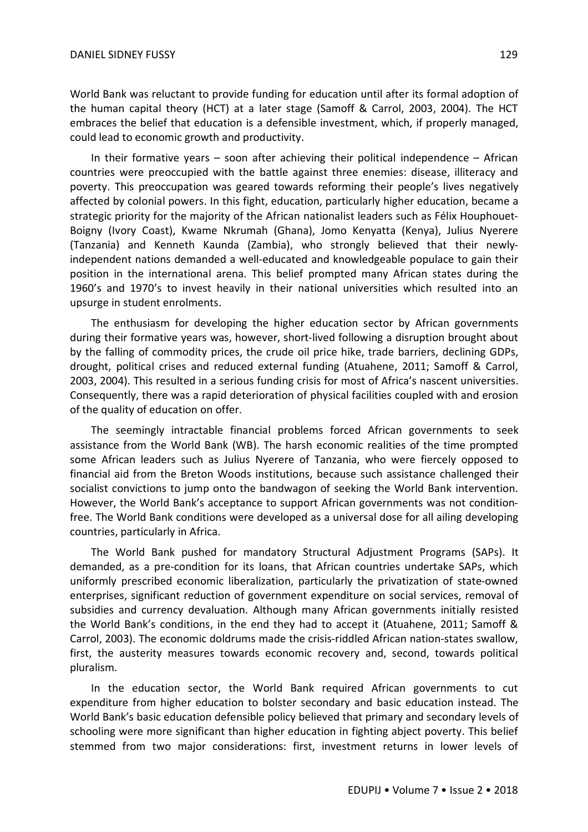could lead to economic growth and productivity.

World Bank was reluctant to provide funding for education until after its formal adoption of the human capital theory (HCT) at a later stage (Samoff & Carrol, 2003, 2004). The HCT embraces the belief that education is a defensible investment, which, if properly managed,

In their formative years  $-$  soon after achieving their political independence  $-$  African countries were preoccupied with the battle against three enemies: disease, illiteracy and poverty. This preoccupation was geared towards reforming their people's lives negatively affected by colonial powers. In this fight, education, particularly higher education, became a strategic priority for the majority of the African nationalist leaders such as Félix Houphouet-Boigny (Ivory Coast), Kwame Nkrumah (Ghana), Jomo Kenyatta (Kenya), Julius Nyerere (Tanzania) and Kenneth Kaunda (Zambia), who strongly believed that their newlyindependent nations demanded a well-educated and knowledgeable populace to gain their position in the international arena. This belief prompted many African states during the 1960's and 1970's to invest heavily in their national universities which resulted into an upsurge in student enrolments.

The enthusiasm for developing the higher education sector by African governments during their formative years was, however, short-lived following a disruption brought about by the falling of commodity prices, the crude oil price hike, trade barriers, declining GDPs, drought, political crises and reduced external funding (Atuahene, 2011; Samoff & Carrol, 2003, 2004). This resulted in a serious funding crisis for most of Africa's nascent universities. Consequently, there was a rapid deterioration of physical facilities coupled with and erosion of the quality of education on offer.

The seemingly intractable financial problems forced African governments to seek assistance from the World Bank (WB). The harsh economic realities of the time prompted some African leaders such as Julius Nyerere of Tanzania, who were fiercely opposed to financial aid from the Breton Woods institutions, because such assistance challenged their socialist convictions to jump onto the bandwagon of seeking the World Bank intervention. However, the World Bank's acceptance to support African governments was not conditionfree. The World Bank conditions were developed as a universal dose for all ailing developing countries, particularly in Africa.

The World Bank pushed for mandatory Structural Adjustment Programs (SAPs). It demanded, as a pre-condition for its loans, that African countries undertake SAPs, which uniformly prescribed economic liberalization, particularly the privatization of state-owned enterprises, significant reduction of government expenditure on social services, removal of subsidies and currency devaluation. Although many African governments initially resisted the World Bank's conditions, in the end they had to accept it (Atuahene, 2011; Samoff & Carrol, 2003). The economic doldrums made the crisis-riddled African nation-states swallow, first, the austerity measures towards economic recovery and, second, towards political pluralism.

In the education sector, the World Bank required African governments to cut expenditure from higher education to bolster secondary and basic education instead. The World Bank's basic education defensible policy believed that primary and secondary levels of schooling were more significant than higher education in fighting abject poverty. This belief stemmed from two major considerations: first, investment returns in lower levels of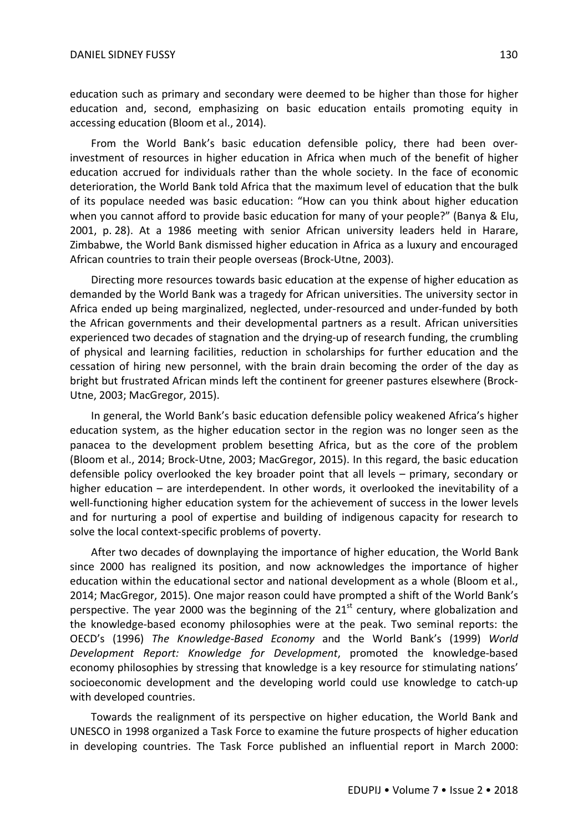education such as primary and secondary were deemed to be higher than those for higher education and, second, emphasizing on basic education entails promoting equity in accessing education (Bloom et al., 2014).

From the World Bank's basic education defensible policy, there had been overinvestment of resources in higher education in Africa when much of the benefit of higher education accrued for individuals rather than the whole society. In the face of economic deterioration, the World Bank told Africa that the maximum level of education that the bulk of its populace needed was basic education: "How can you think about higher education when you cannot afford to provide basic education for many of your people?" (Banya & Elu, 2001, p. 28). At a 1986 meeting with senior African university leaders held in Harare, Zimbabwe, the World Bank dismissed higher education in Africa as a luxury and encouraged African countries to train their people overseas (Brock-Utne, 2003).

Directing more resources towards basic education at the expense of higher education as demanded by the World Bank was a tragedy for African universities. The university sector in Africa ended up being marginalized, neglected, under-resourced and under-funded by both the African governments and their developmental partners as a result. African universities experienced two decades of stagnation and the drying-up of research funding, the crumbling of physical and learning facilities, reduction in scholarships for further education and the cessation of hiring new personnel, with the brain drain becoming the order of the day as bright but frustrated African minds left the continent for greener pastures elsewhere (Brock-Utne, 2003; MacGregor, 2015).

In general, the World Bank's basic education defensible policy weakened Africa's higher education system, as the higher education sector in the region was no longer seen as the panacea to the development problem besetting Africa, but as the core of the problem (Bloom et al., 2014; Brock-Utne, 2003; MacGregor, 2015). In this regard, the basic education defensible policy overlooked the key broader point that all levels – primary, secondary or higher education – are interdependent. In other words, it overlooked the inevitability of a well-functioning higher education system for the achievement of success in the lower levels and for nurturing a pool of expertise and building of indigenous capacity for research to solve the local context-specific problems of poverty.

After two decades of downplaying the importance of higher education, the World Bank since 2000 has realigned its position, and now acknowledges the importance of higher education within the educational sector and national development as a whole (Bloom et al., 2014; MacGregor, 2015). One major reason could have prompted a shift of the World Bank's perspective. The year 2000 was the beginning of the  $21<sup>st</sup>$  century, where globalization and the knowledge-based economy philosophies were at the peak. Two seminal reports: the OECD's (1996) *The Knowledge-Based Economy* and the World Bank's (1999) *World Development Report: Knowledge for Development*, promoted the knowledge-based economy philosophies by stressing that knowledge is a key resource for stimulating nations' socioeconomic development and the developing world could use knowledge to catch-up with developed countries.

Towards the realignment of its perspective on higher education, the World Bank and UNESCO in 1998 organized a Task Force to examine the future prospects of higher education in developing countries. The Task Force published an influential report in March 2000: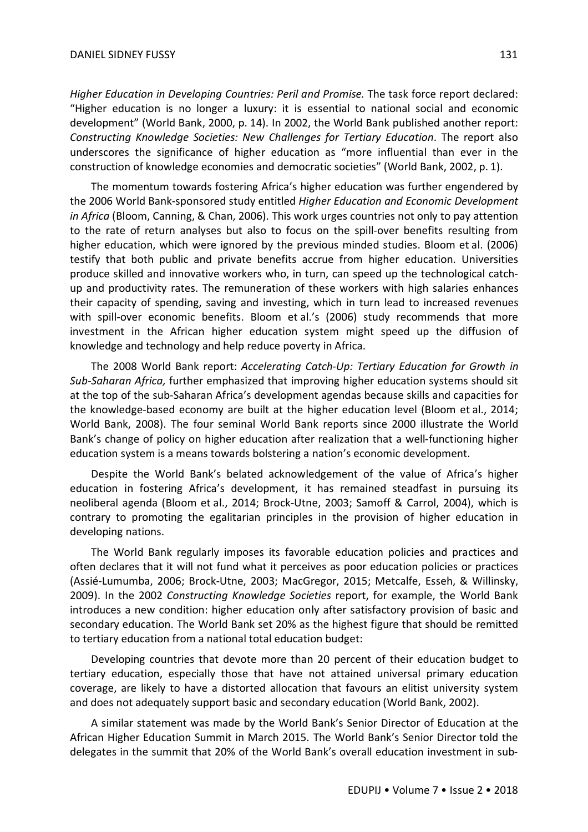*Higher Education in Developing Countries: Peril and Promise.* The task force report declared: "Higher education is no longer a luxury: it is essential to national social and economic development" (World Bank, 2000, p. 14). In 2002, the World Bank published another report: *Constructing Knowledge Societies: New Challenges for Tertiary Education*. The report also underscores the significance of higher education as "more influential than ever in the construction of knowledge economies and democratic societies" (World Bank, 2002, p. 1).

The momentum towards fostering Africa's higher education was further engendered by the 2006 World Bank-sponsored study entitled *Higher Education and Economic Development in Africa* (Bloom, Canning, & Chan, 2006). This work urges countries not only to pay attention to the rate of return analyses but also to focus on the spill-over benefits resulting from higher education, which were ignored by the previous minded studies. Bloom et al. (2006) testify that both public and private benefits accrue from higher education. Universities produce skilled and innovative workers who, in turn, can speed up the technological catchup and productivity rates. The remuneration of these workers with high salaries enhances their capacity of spending, saving and investing, which in turn lead to increased revenues with spill-over economic benefits. Bloom et al.'s (2006) study recommends that more investment in the African higher education system might speed up the diffusion of knowledge and technology and help reduce poverty in Africa.

The 2008 World Bank report: *Accelerating Catch-Up: Tertiary Education for Growth in Sub-Saharan Africa,* further emphasized that improving higher education systems should sit at the top of the sub-Saharan Africa's development agendas because skills and capacities for the knowledge-based economy are built at the higher education level (Bloom et al., 2014; World Bank, 2008). The four seminal World Bank reports since 2000 illustrate the World Bank's change of policy on higher education after realization that a well-functioning higher education system is a means towards bolstering a nation's economic development.

Despite the World Bank's belated acknowledgement of the value of Africa's higher education in fostering Africa's development, it has remained steadfast in pursuing its neoliberal agenda (Bloom et al., 2014; Brock-Utne, 2003; Samoff & Carrol, 2004), which is contrary to promoting the egalitarian principles in the provision of higher education in developing nations.

The World Bank regularly imposes its favorable education policies and practices and often declares that it will not fund what it perceives as poor education policies or practices (Assié-Lumumba, 2006; Brock-Utne, 2003; MacGregor, 2015; Metcalfe, Esseh, & Willinsky, 2009). In the 2002 *Constructing Knowledge Societies* report, for example, the World Bank introduces a new condition: higher education only after satisfactory provision of basic and secondary education. The World Bank set 20% as the highest figure that should be remitted to tertiary education from a national total education budget:

Developing countries that devote more than 20 percent of their education budget to tertiary education, especially those that have not attained universal primary education coverage, are likely to have a distorted allocation that favours an elitist university system and does not adequately support basic and secondary education (World Bank, 2002).

A similar statement was made by the World Bank's Senior Director of Education at the African Higher Education Summit in March 2015. The World Bank's Senior Director told the delegates in the summit that 20% of the World Bank's overall education investment in sub-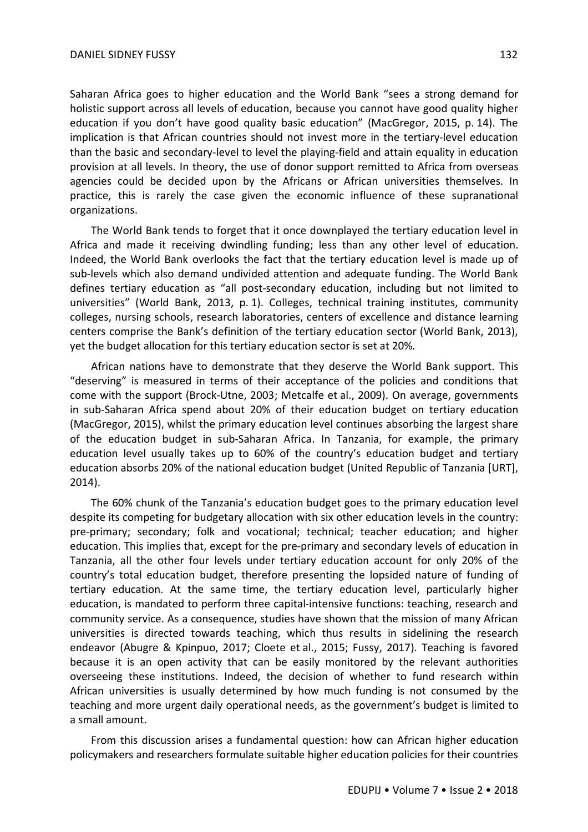Saharan Africa goes to higher education and the World Bank "sees a strong demand for holistic support across all levels of education, because you cannot have good quality higher education if you don't have good quality basic education" (MacGregor, 2015, p. 14). The implication is that African countries should not invest more in the tertiary-level education than the basic and secondary-level to level the playing-field and attain equality in education provision at all levels. In theory, the use of donor support remitted to Africa from overseas agencies could be decided upon by the Africans or African universities themselves. In practice, this is rarely the case given the economic influence of these supranational organizations.

The World Bank tends to forget that it once downplayed the tertiary education level in Africa and made it receiving dwindling funding; less than any other level of education. Indeed, the World Bank overlooks the fact that the tertiary education level is made up of sub-levels which also demand undivided attention and adequate funding. The World Bank defines tertiary education as "all post-secondary education, including but not limited to universities" (World Bank, 2013, p. 1). Colleges, technical training institutes, community colleges, nursing schools, research laboratories, centers of excellence and distance learning centers comprise the Bank's definition of the tertiary education sector (World Bank, 2013), yet the budget allocation for this tertiary education sector is set at 20%.

African nations have to demonstrate that they deserve the World Bank support. This "deserving" is measured in terms of their acceptance of the policies and conditions that come with the support (Brock-Utne, 2003; Metcalfe et al., 2009). On average, governments in sub-Saharan Africa spend about 20% of their education budget on tertiary education (MacGregor, 2015), whilst the primary education level continues absorbing the largest share of the education budget in sub-Saharan Africa. In Tanzania, for example, the primary education level usually takes up to 60% of the country's education budget and tertiary education absorbs 20% of the national education budget (United Republic of Tanzania [URT], 2014).

The 60% chunk of the Tanzania's education budget goes to the primary education level despite its competing for budgetary allocation with six other education levels in the country: pre-primary; secondary; folk and vocational; technical; teacher education; and higher education. This implies that, except for the pre-primary and secondary levels of education in Tanzania, all the other four levels under tertiary education account for only 20% of the country's total education budget, therefore presenting the lopsided nature of funding of tertiary education. At the same time, the tertiary education level, particularly higher education, is mandated to perform three capital-intensive functions: teaching, research and community service. As a consequence, studies have shown that the mission of many African universities is directed towards teaching, which thus results in sidelining the research endeavor (Abugre & Kpinpuo, 2017; Cloete et al., 2015; Fussy, 2017). Teaching is favored because it is an open activity that can be easily monitored by the relevant authorities overseeing these institutions. Indeed, the decision of whether to fund research within African universities is usually determined by how much funding is not consumed by the teaching and more urgent daily operational needs, as the government's budget is limited to a small amount.

From this discussion arises a fundamental question: how can African higher education policymakers and researchers formulate suitable higher education policies for their countries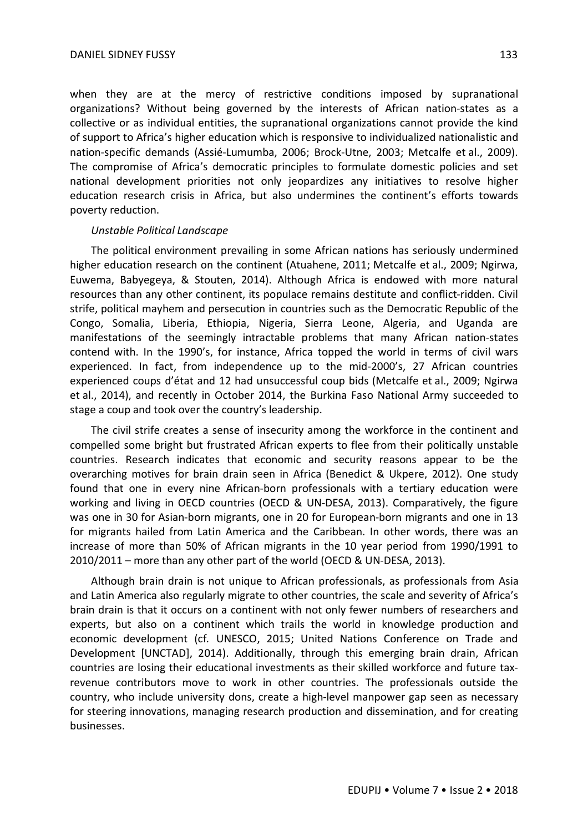when they are at the mercy of restrictive conditions imposed by supranational organizations? Without being governed by the interests of African nation-states as a collective or as individual entities, the supranational organizations cannot provide the kind of support to Africa's higher education which is responsive to individualized nationalistic and nation-specific demands (Assié-Lumumba, 2006; Brock-Utne, 2003; Metcalfe et al., 2009). The compromise of Africa's democratic principles to formulate domestic policies and set national development priorities not only jeopardizes any initiatives to resolve higher education research crisis in Africa, but also undermines the continent's efforts towards poverty reduction.

## *Unstable Political Landscape*

The political environment prevailing in some African nations has seriously undermined higher education research on the continent (Atuahene, 2011; Metcalfe et al., 2009; Ngirwa, Euwema, Babyegeya, & Stouten, 2014). Although Africa is endowed with more natural resources than any other continent, its populace remains destitute and conflict-ridden. Civil strife, political mayhem and persecution in countries such as the Democratic Republic of the Congo, Somalia, Liberia, Ethiopia, Nigeria, Sierra Leone, Algeria, and Uganda are manifestations of the seemingly intractable problems that many African nation-states contend with. In the 1990's, for instance, Africa topped the world in terms of civil wars experienced. In fact, from independence up to the mid-2000's, 27 African countries experienced coups d'état and 12 had unsuccessful coup bids (Metcalfe et al., 2009; Ngirwa et al., 2014), and recently in October 2014, the Burkina Faso National Army succeeded to stage a coup and took over the country's leadership.

The civil strife creates a sense of insecurity among the workforce in the continent and compelled some bright but frustrated African experts to flee from their politically unstable countries. Research indicates that economic and security reasons appear to be the overarching motives for brain drain seen in Africa (Benedict & Ukpere, 2012). One study found that one in every nine African-born professionals with a tertiary education were working and living in OECD countries (OECD & UN-DESA, 2013). Comparatively, the figure was one in 30 for Asian-born migrants, one in 20 for European-born migrants and one in 13 for migrants hailed from Latin America and the Caribbean. In other words, there was an increase of more than 50% of African migrants in the 10 year period from 1990/1991 to 2010/2011 – more than any other part of the world (OECD & UN-DESA, 2013).

Although brain drain is not unique to African professionals, as professionals from Asia and Latin America also regularly migrate to other countries, the scale and severity of Africa's brain drain is that it occurs on a continent with not only fewer numbers of researchers and experts, but also on a continent which trails the world in knowledge production and economic development (cf*.* UNESCO, 2015; United Nations Conference on Trade and Development [UNCTAD], 2014). Additionally, through this emerging brain drain, African countries are losing their educational investments as their skilled workforce and future taxrevenue contributors move to work in other countries. The professionals outside the country, who include university dons, create a high-level manpower gap seen as necessary for steering innovations, managing research production and dissemination, and for creating businesses.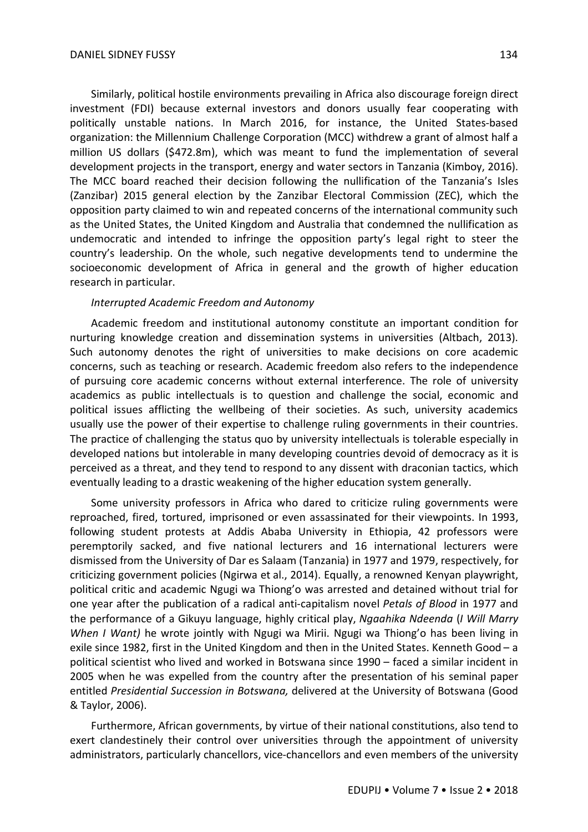Similarly, political hostile environments prevailing in Africa also discourage foreign direct investment (FDI) because external investors and donors usually fear cooperating with politically unstable nations. In March 2016, for instance, the United States-based organization: the Millennium Challenge Corporation (MCC) withdrew a grant of almost half a million US dollars (\$472.8m), which was meant to fund the implementation of several development projects in the transport, energy and water sectors in Tanzania (Kimboy, 2016). The MCC board reached their decision following the nullification of the Tanzania's Isles (Zanzibar) 2015 general election by the Zanzibar Electoral Commission (ZEC), which the opposition party claimed to win and repeated concerns of the international community such as the United States, the United Kingdom and Australia that condemned the nullification as undemocratic and intended to infringe the opposition party's legal right to steer the country's leadership. On the whole, such negative developments tend to undermine the socioeconomic development of Africa in general and the growth of higher education research in particular.

## *Interrupted Academic Freedom and Autonomy*

Academic freedom and institutional autonomy constitute an important condition for nurturing knowledge creation and dissemination systems in universities (Altbach, 2013). Such autonomy denotes the right of universities to make decisions on core academic concerns, such as teaching or research. Academic freedom also refers to the independence of pursuing core academic concerns without external interference. The role of university academics as public intellectuals is to question and challenge the social, economic and political issues afflicting the wellbeing of their societies. As such, university academics usually use the power of their expertise to challenge ruling governments in their countries. The practice of challenging the status quo by university intellectuals is tolerable especially in developed nations but intolerable in many developing countries devoid of democracy as it is perceived as a threat, and they tend to respond to any dissent with draconian tactics, which eventually leading to a drastic weakening of the higher education system generally.

Some university professors in Africa who dared to criticize ruling governments were reproached, fired, tortured, imprisoned or even assassinated for their viewpoints. In 1993, following student protests at Addis Ababa University in Ethiopia, 42 professors were peremptorily sacked, and five national lecturers and 16 international lecturers were dismissed from the University of Dar es Salaam (Tanzania) in 1977 and 1979, respectively, for criticizing government policies (Ngirwa et al., 2014). Equally, a renowned Kenyan playwright, political critic and academic Ngugi wa Thiong'o was arrested and detained without trial for one year after the publication of a radical anti-capitalism novel *Petals of Blood* in 1977 and the performance of a Gikuyu language, highly critical play, *Ngaahika Ndeenda* (*I Will Marry When I Want)* he wrote jointly with Ngugi wa Mirii. Ngugi wa Thiong'o has been living in exile since 1982, first in the United Kingdom and then in the United States. Kenneth Good – a political scientist who lived and worked in Botswana since 1990 – faced a similar incident in 2005 when he was expelled from the country after the presentation of his seminal paper entitled *Presidential Succession in Botswana,* delivered at the University of Botswana (Good & Taylor, 2006).

Furthermore, African governments, by virtue of their national constitutions, also tend to exert clandestinely their control over universities through the appointment of university administrators, particularly chancellors, vice-chancellors and even members of the university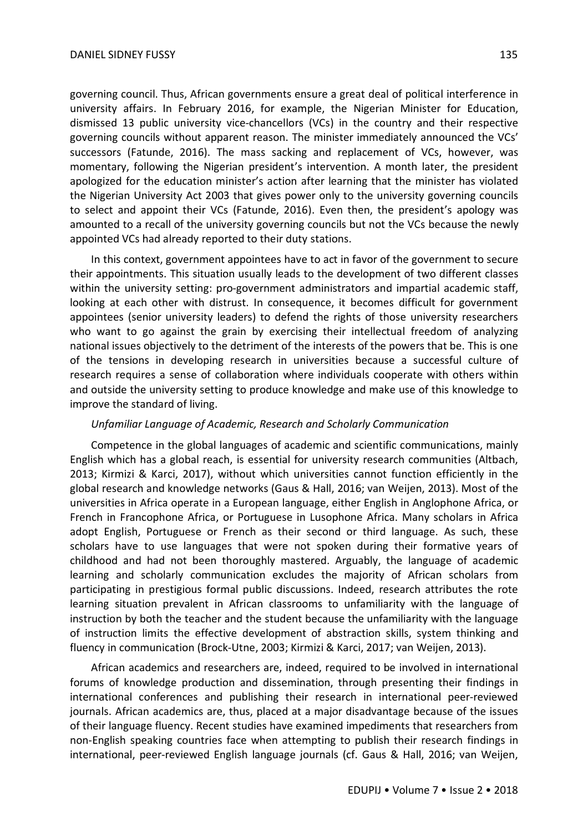governing council. Thus, African governments ensure a great deal of political interference in university affairs. In February 2016, for example, the Nigerian Minister for Education, dismissed 13 public university vice-chancellors (VCs) in the country and their respective governing councils without apparent reason. The minister immediately announced the VCs' successors (Fatunde, 2016). The mass sacking and replacement of VCs, however, was momentary, following the Nigerian president's intervention. A month later, the president apologized for the education minister's action after learning that the minister has violated the Nigerian University Act 2003 that gives power only to the university governing councils to select and appoint their VCs (Fatunde, 2016). Even then, the president's apology was amounted to a recall of the university governing councils but not the VCs because the newly appointed VCs had already reported to their duty stations.

In this context, government appointees have to act in favor of the government to secure their appointments. This situation usually leads to the development of two different classes within the university setting: pro-government administrators and impartial academic staff, looking at each other with distrust. In consequence, it becomes difficult for government appointees (senior university leaders) to defend the rights of those university researchers who want to go against the grain by exercising their intellectual freedom of analyzing national issues objectively to the detriment of the interests of the powers that be. This is one of the tensions in developing research in universities because a successful culture of research requires a sense of collaboration where individuals cooperate with others within and outside the university setting to produce knowledge and make use of this knowledge to improve the standard of living.

### *Unfamiliar Language of Academic, Research and Scholarly Communication*

Competence in the global languages of academic and scientific communications, mainly English which has a global reach, is essential for university research communities (Altbach, 2013; Kirmizi & Karci, 2017), without which universities cannot function efficiently in the global research and knowledge networks (Gaus & Hall, 2016; van Weijen, 2013). Most of the universities in Africa operate in a European language, either English in Anglophone Africa, or French in Francophone Africa, or Portuguese in Lusophone Africa. Many scholars in Africa adopt English, Portuguese or French as their second or third language. As such, these scholars have to use languages that were not spoken during their formative years of childhood and had not been thoroughly mastered. Arguably, the language of academic learning and scholarly communication excludes the majority of African scholars from participating in prestigious formal public discussions. Indeed, research attributes the rote learning situation prevalent in African classrooms to unfamiliarity with the language of instruction by both the teacher and the student because the unfamiliarity with the language of instruction limits the effective development of abstraction skills, system thinking and fluency in communication (Brock-Utne, 2003; Kirmizi & Karci, 2017; van Weijen, 2013).

African academics and researchers are, indeed, required to be involved in international forums of knowledge production and dissemination, through presenting their findings in international conferences and publishing their research in international peer-reviewed journals. African academics are, thus, placed at a major disadvantage because of the issues of their language fluency. Recent studies have examined impediments that researchers from non-English speaking countries face when attempting to publish their research findings in international, peer-reviewed English language journals (cf. Gaus & Hall, 2016; van Weijen,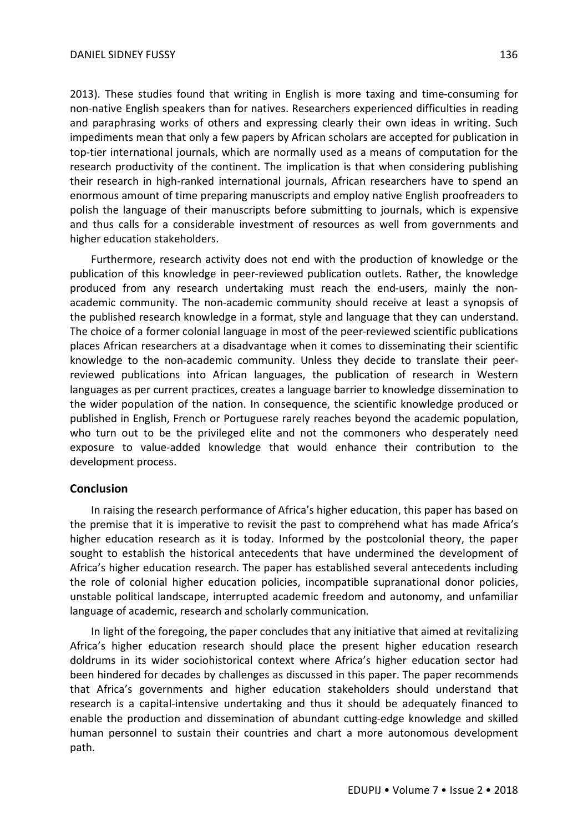2013). These studies found that writing in English is more taxing and time-consuming for non-native English speakers than for natives. Researchers experienced difficulties in reading and paraphrasing works of others and expressing clearly their own ideas in writing. Such impediments mean that only a few papers by African scholars are accepted for publication in top-tier international journals, which are normally used as a means of computation for the research productivity of the continent. The implication is that when considering publishing their research in high-ranked international journals, African researchers have to spend an enormous amount of time preparing manuscripts and employ native English proofreaders to polish the language of their manuscripts before submitting to journals, which is expensive and thus calls for a considerable investment of resources as well from governments and higher education stakeholders.

Furthermore, research activity does not end with the production of knowledge or the publication of this knowledge in peer-reviewed publication outlets. Rather, the knowledge produced from any research undertaking must reach the end-users, mainly the nonacademic community. The non-academic community should receive at least a synopsis of the published research knowledge in a format, style and language that they can understand. The choice of a former colonial language in most of the peer-reviewed scientific publications places African researchers at a disadvantage when it comes to disseminating their scientific knowledge to the non-academic community. Unless they decide to translate their peerreviewed publications into African languages, the publication of research in Western languages as per current practices, creates a language barrier to knowledge dissemination to the wider population of the nation. In consequence, the scientific knowledge produced or published in English, French or Portuguese rarely reaches beyond the academic population, who turn out to be the privileged elite and not the commoners who desperately need exposure to value-added knowledge that would enhance their contribution to the development process.

### **Conclusion**

In raising the research performance of Africa's higher education, this paper has based on the premise that it is imperative to revisit the past to comprehend what has made Africa's higher education research as it is today. Informed by the postcolonial theory, the paper sought to establish the historical antecedents that have undermined the development of Africa's higher education research. The paper has established several antecedents including the role of colonial higher education policies, incompatible supranational donor policies, unstable political landscape, interrupted academic freedom and autonomy, and unfamiliar language of academic, research and scholarly communication.

In light of the foregoing, the paper concludes that any initiative that aimed at revitalizing Africa's higher education research should place the present higher education research doldrums in its wider sociohistorical context where Africa's higher education sector had been hindered for decades by challenges as discussed in this paper. The paper recommends that Africa's governments and higher education stakeholders should understand that research is a capital-intensive undertaking and thus it should be adequately financed to enable the production and dissemination of abundant cutting-edge knowledge and skilled human personnel to sustain their countries and chart a more autonomous development path.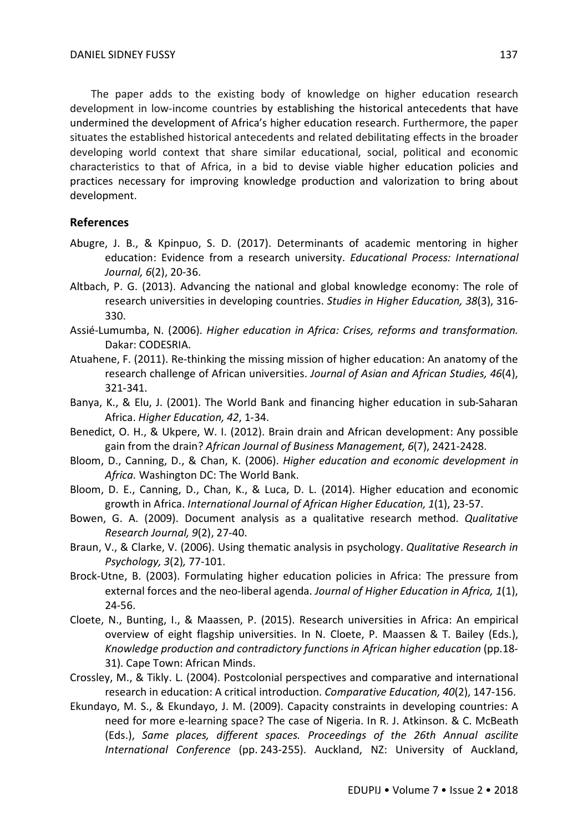The paper adds to the existing body of knowledge on higher education research development in low-income countries by establishing the historical antecedents that have undermined the development of Africa's higher education research. Furthermore, the paper situates the established historical antecedents and related debilitating effects in the broader developing world context that share similar educational, social, political and economic characteristics to that of Africa, in a bid to devise viable higher education policies and practices necessary for improving knowledge production and valorization to bring about development.

## **References**

- Abugre, J. B., & Kpinpuo, S. D. (2017). Determinants of academic mentoring in higher education: Evidence from a research university. *Educational Process: International Journal, 6*(2), 20-36.
- Altbach, P. G. (2013). Advancing the national and global knowledge economy: The role of research universities in developing countries. *Studies in Higher Education, 38*(3), 316- 330.
- Assié-Lumumba, N. (2006). *Higher education in Africa: Crises, reforms and transformation.* Dakar: CODESRIA.
- Atuahene, F. (2011). Re-thinking the missing mission of higher education: An anatomy of the research challenge of African universities. *Journal of Asian and African Studies, 46*(4), 321-341.
- Banya, K., & Elu, J. (2001). The World Bank and financing higher education in sub-Saharan Africa. *Higher Education, 42*, 1-34.
- Benedict, O. H., & Ukpere, W. I. (2012). Brain drain and African development: Any possible gain from the drain? *African Journal of Business Management, 6*(7), 2421-2428.
- Bloom, D., Canning, D., & Chan, K. (2006). *Higher education and economic development in Africa.* Washington DC: The World Bank.
- Bloom, D. E., Canning, D., Chan, K., & Luca, D. L. (2014). Higher education and economic growth in Africa. *International Journal of African Higher Education, 1*(1), 23-57.
- Bowen, G. A. (2009). Document analysis as a qualitative research method. *Qualitative Research Journal, 9*(2), 27-40.
- Braun, V., & Clarke, V. (2006). Using thematic analysis in psychology. *Qualitative Research in Psychology, 3*(2)*,* 77-101.
- Brock-Utne, B. (2003). Formulating higher education policies in Africa: The pressure from external forces and the neo-liberal agenda. *Journal of Higher Education in Africa, 1*(1), 24-56.
- Cloete, N., Bunting, I., & Maassen, P. (2015). Research universities in Africa: An empirical overview of eight flagship universities. In N. Cloete, P. Maassen & T. Bailey (Eds.), *Knowledge production and contradictory functions in African higher education* (pp.18- 31). Cape Town: African Minds.
- Crossley, M., & Tikly. L. (2004). Postcolonial perspectives and comparative and international research in education: A critical introduction. *Comparative Education, 40*(2), 147-156.
- Ekundayo, M. S., & Ekundayo, J. M. (2009). Capacity constraints in developing countries: A need for more e-learning space? The case of Nigeria. In R. J. Atkinson. & C. McBeath (Eds.), *Same places, different spaces. Proceedings of the 26th Annual ascilite International Conference* (pp. 243-255). Auckland, NZ: University of Auckland,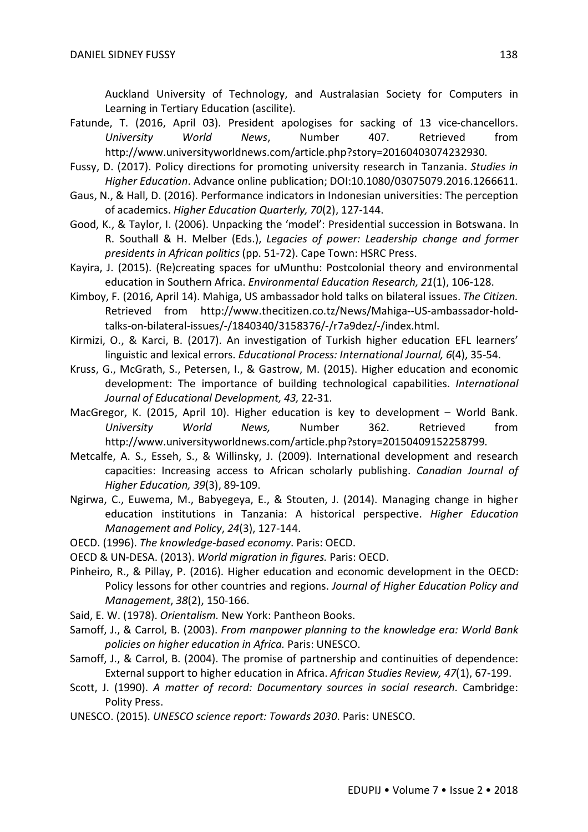Auckland University of Technology, and Australasian Society for Computers in Learning in Tertiary Education (ascilite).

Fatunde, T. (2016, April 03). President apologises for sacking of 13 vice-chancellors. *University World News*, Number 407. Retrieved from http://www.universityworldnews.com/article.php?story=20160403074232930.

Fussy, D. (2017). Policy directions for promoting university research in Tanzania. *Studies in Higher Education*. Advance online publication; DOI:10.1080/03075079.2016.1266611.

- Gaus, N., & Hall, D. (2016). Performance indicators in Indonesian universities: The perception of academics. *Higher Education Quarterly, 70*(2), 127-144.
- Good, K., & Taylor, I. (2006). Unpacking the 'model': Presidential succession in Botswana. In R. Southall & H. Melber (Eds.), *Legacies of power: Leadership change and former presidents in African politics* (pp. 51-72). Cape Town: HSRC Press.
- Kayira, J. (2015). (Re)creating spaces for uMunthu: Postcolonial theory and environmental education in Southern Africa. *Environmental Education Research, 21*(1), 106-128.
- Kimboy, F. (2016, April 14). Mahiga, US ambassador hold talks on bilateral issues. *The Citizen.*  Retrieved from http://www.thecitizen.co.tz/News/Mahiga--US-ambassador-holdtalks-on-bilateral-issues/-/1840340/3158376/-/r7a9dez/-/index.html.
- Kirmizi, O., & Karci, B. (2017). An investigation of Turkish higher education EFL learners' linguistic and lexical errors. *Educational Process: International Journal, 6*(4), 35-54.
- Kruss, G., McGrath, S., Petersen, I., & Gastrow, M. (2015). Higher education and economic development: The importance of building technological capabilities. *International Journal of Educational Development, 43,* 22-31.
- MacGregor, K. (2015, April 10). Higher education is key to development World Bank. *University World News,* Number 362. Retrieved from http://www.universityworldnews.com/article.php?story=20150409152258799.
- Metcalfe, A. S., Esseh, S., & Willinsky, J. (2009). International development and research capacities: Increasing access to African scholarly publishing. *Canadian Journal of Higher Education, 39*(3), 89-109.
- Ngirwa, C., Euwema, M., Babyegeya, E., & Stouten, J. (2014). Managing change in higher education institutions in Tanzania: A historical perspective. *Higher Education Management and Policy*, *24*(3), 127-144.
- OECD. (1996). *The knowledge-based economy*. Paris: OECD.
- OECD & UN-DESA. (2013). *World migration in figures.* Paris: OECD.
- Pinheiro, R., & Pillay, P. (2016). Higher education and economic development in the OECD: Policy lessons for other countries and regions. *Journal of Higher Education Policy and Management*, *38*(2), 150-166.
- Said, E. W. (1978). *Orientalism.* New York: Pantheon Books.
- Samoff, J., & Carrol, B. (2003). *From manpower planning to the knowledge era: World Bank policies on higher education in Africa.* Paris: UNESCO.
- Samoff, J., & Carrol, B. (2004). The promise of partnership and continuities of dependence: External support to higher education in Africa. *African Studies Review, 47*(1), 67-199.
- Scott, J. (1990). *A matter of record: Documentary sources in social research*. Cambridge: Polity Press.
- UNESCO. (2015). *UNESCO science report: Towards 2030*. Paris: UNESCO.